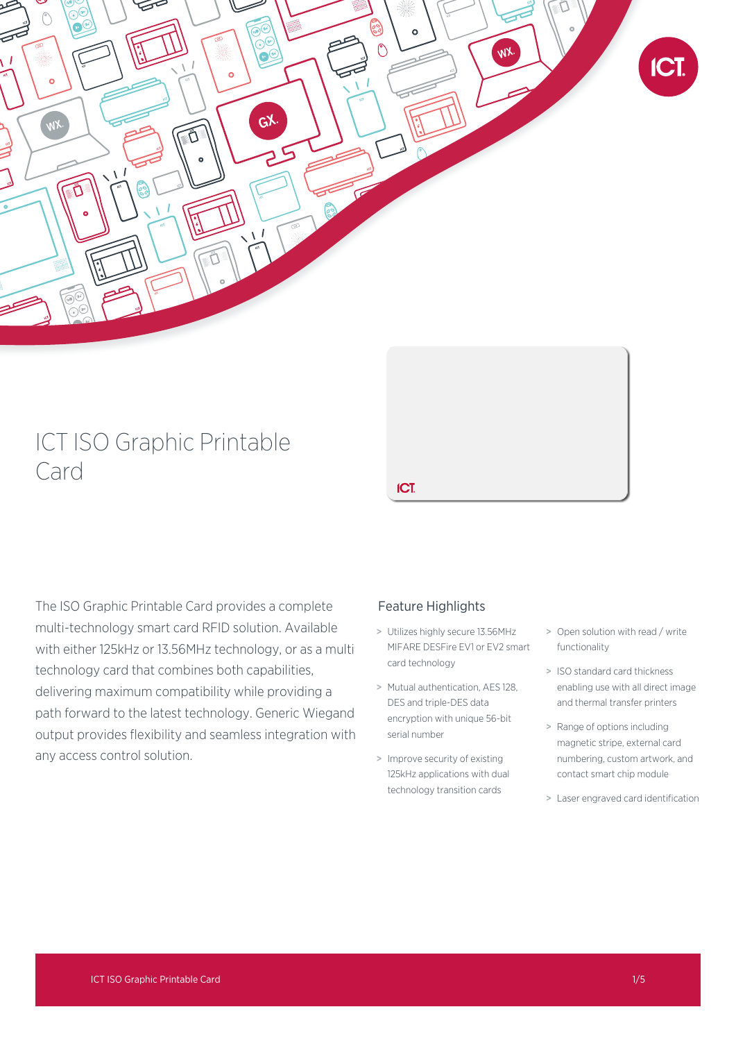

# ICT ISO Graphic Printable Card

The ISO Graphic Printable Card provides a complete multi-technology smart card RFID solution. Available with either 125kHz or 13.56MHz technology, or as a multi technology card that combines both capabilities, delivering maximum compatibility while providing a path forward to the latest technology. Generic Wiegand output provides flexibility and seamless integration with any access control solution.

ICT.

Feature Highlights

### > Utilizes highly secure 13.56MHz MIFARE DESFire EV1 or EV2 smart card technology

- > Mutual authentication, AES 128, DES and triple-DES data encryption with unique 56-bit serial number
- > Improve security of existing 125kHz applications with dual technology transition cards
- > Open solution with read / write functionality
- > ISO standard card thickness enabling use with all direct image and thermal transfer printers
- > Range of options including magnetic stripe, external card numbering, custom artwork, and contact smart chip module
- > Laser engraved card identification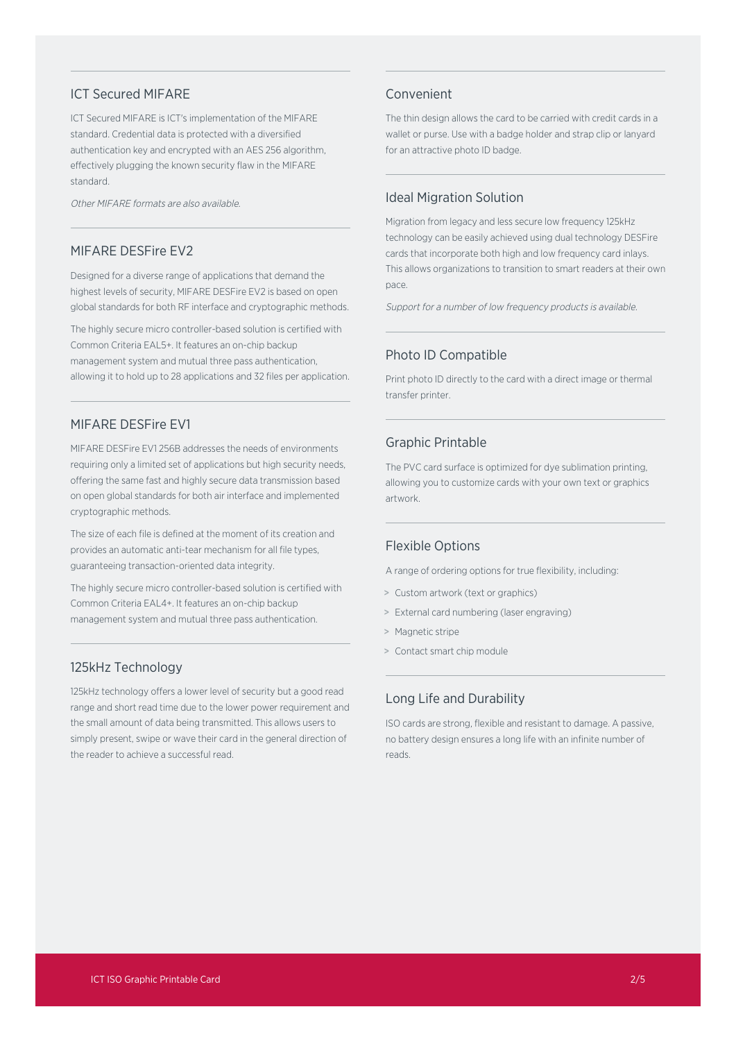#### ICT Secured MIFARE

ICT Secured MIFARE is ICT's implementation of the MIFARE standard. Credential data is protected with a diversified authentication key and encrypted with an AES 256 algorithm, effectively plugging the known security flaw in the MIFARE standard.

Other MIFARE formats are also available.

#### MIFARE DESFire EV2

Designed for a diverse range of applications that demand the highest levels of security, MIFARE DESFire EV2 is based on open global standards for both RF interface and cryptographic methods.

The highly secure micro controller-based solution is certified with Common Criteria EAL5+. It features an on-chip backup management system and mutual three pass authentication, allowing it to hold up to 28 applications and 32 files per application.

#### MIFARE DESFire EV1

MIFARE DESFire EV1 256B addresses the needs of environments requiring only a limited set of applications but high security needs, offering the same fast and highly secure data transmission based on open global standards for both air interface and implemented cryptographic methods.

The size of each file is defined at the moment of its creation and provides an automatic anti-tear mechanism for all file types, guaranteeing transaction-oriented data integrity.

The highly secure micro controller-based solution is certified with Common Criteria EAL4+. It features an on-chip backup management system and mutual three pass authentication.

#### 125kHz Technology

125kHz technology offers a lower level of security but a good read range and short read time due to the lower power requirement and the small amount of data being transmitted. This allows users to simply present, swipe or wave their card in the general direction of the reader to achieve a successful read.

#### Convenient

The thin design allows the card to be carried with credit cards in a wallet or purse. Use with a badge holder and strap clip or lanyard for an attractive photo ID badge.

#### Ideal Migration Solution

Migration from legacy and less secure low frequency 125kHz technology can be easily achieved using dual technology DESFire cards that incorporate both high and low frequency card inlays. This allows organizations to transition to smart readers at their own pace.

Support for <sup>a</sup> number of low frequency products is available.

#### Photo ID Compatible

Print photo ID directly to the card with a direct image or thermal transfer printer.

#### Graphic Printable

The PVC card surface is optimized for dye sublimation printing, allowing you to customize cards with your own text or graphics artwork.

#### Flexible Options

A range of ordering options for true flexibility, including:

- > Custom artwork (text or graphics)
- > External card numbering (laser engraving)
- > Magnetic stripe
- > Contact smart chip module

### Long Life and Durability

ISO cards are strong, flexible and resistant to damage. A passive, no battery design ensures a long life with an infinite number of reads.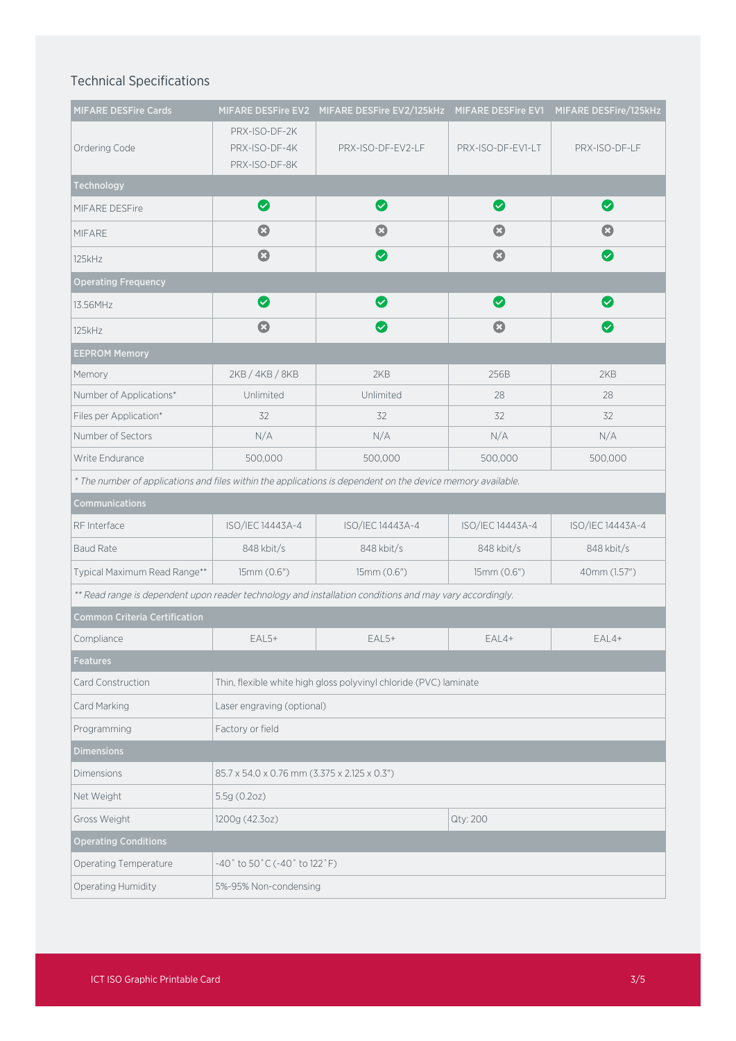## Technical Specifications

| <b>MIFARE DESFire Cards</b>                                                                                 |                                                                   | MIFARE DESFire EV2 MIFARE DESFire EV2/125kHz MIFARE DESFire EV1 |                       | MIFARE DESFire/125kHz        |  |
|-------------------------------------------------------------------------------------------------------------|-------------------------------------------------------------------|-----------------------------------------------------------------|-----------------------|------------------------------|--|
|                                                                                                             | PRX-ISO-DF-2K                                                     |                                                                 |                       |                              |  |
| Ordering Code                                                                                               | PRX-ISO-DF-4K                                                     | PRX-ISO-DF-EV2-LF                                               | PRX-ISO-DF-EV1-LT     | PRX-ISO-DF-LF                |  |
|                                                                                                             | PRX-ISO-DF-8K                                                     |                                                                 |                       |                              |  |
| Technology                                                                                                  | Ø                                                                 | Ø                                                               | Ø                     | Ø                            |  |
| MIFARE DESFire                                                                                              |                                                                   |                                                                 |                       |                              |  |
| <b>MIFARE</b>                                                                                               | Ø                                                                 | $\boldsymbol{\Omega}$                                           | Ø                     | $\boldsymbol{\Omega}$        |  |
| 125kHz                                                                                                      | $\bf G$                                                           | $\bm{\bm{\omega}}$                                              | $\boldsymbol{\Omega}$ | $\bm{\bm{\vartriangledown}}$ |  |
| <b>Operating Frequency</b>                                                                                  |                                                                   |                                                                 |                       |                              |  |
| 13.56MHz                                                                                                    | $\bullet$                                                         | Ø                                                               | Ø                     | $\bullet$                    |  |
| 125kHz                                                                                                      | $\boldsymbol{\Omega}$                                             | $\bm{\bm{\omega}}$                                              | $\mathbf{O}$          | $\bm{\bm \omega}$            |  |
| <b>EEPROM Memory</b>                                                                                        |                                                                   |                                                                 |                       |                              |  |
| Memory                                                                                                      | 2KB / 4KB / 8KB                                                   | 2KB                                                             | 256B                  | 2KB                          |  |
| Number of Applications*                                                                                     | Unlimited                                                         | Unlimited                                                       | 28                    | 28                           |  |
| Files per Application*                                                                                      | 32                                                                | 32                                                              | 32                    | 32                           |  |
| Number of Sectors                                                                                           | N/A                                                               | N/A                                                             | N/A                   | N/A                          |  |
| Write Endurance                                                                                             | 500,000                                                           | 500,000                                                         | 500,000               | 500,000                      |  |
| * The number of applications and files within the applications is dependent on the device memory available. |                                                                   |                                                                 |                       |                              |  |
| <b>Communications</b>                                                                                       |                                                                   |                                                                 |                       |                              |  |
| RF Interface                                                                                                | ISO/IEC 14443A-4                                                  | ISO/IEC 14443A-4                                                | ISO/IEC 14443A-4      | ISO/IEC 14443A-4             |  |
| <b>Baud Rate</b>                                                                                            | 848 kbit/s                                                        | 848 kbit/s                                                      | 848 kbit/s            | 848 kbit/s                   |  |
| Typical Maximum Read Range**                                                                                | 15mm (0.6")                                                       | 15mm (0.6")                                                     | 15mm (0.6")           | 40mm (1.57")                 |  |
| ** Read range is dependent upon reader technology and installation conditions and may vary accordingly.     |                                                                   |                                                                 |                       |                              |  |
| <b>Common Criteria Certification</b>                                                                        |                                                                   |                                                                 |                       |                              |  |
| Compliance                                                                                                  | $EAL5+$                                                           | $EAL5+$                                                         | $EAL4+$               | $EAL4+$                      |  |
| Features                                                                                                    |                                                                   |                                                                 |                       |                              |  |
| Card Construction                                                                                           | Thin, flexible white high gloss polyvinyl chloride (PVC) laminate |                                                                 |                       |                              |  |
| Card Marking                                                                                                | Laser engraving (optional)                                        |                                                                 |                       |                              |  |
| Programming                                                                                                 | Factory or field                                                  |                                                                 |                       |                              |  |
| <b>Dimensions</b>                                                                                           |                                                                   |                                                                 |                       |                              |  |
| <b>Dimensions</b>                                                                                           | 85.7 x 54.0 x 0.76 mm (3.375 x 2.125 x 0.3")                      |                                                                 |                       |                              |  |
| Net Weight                                                                                                  | 5.5g (0.2oz)                                                      |                                                                 |                       |                              |  |
| Gross Weight                                                                                                | 1200g (42.3oz)                                                    |                                                                 | Qty: 200              |                              |  |
| <b>Operating Conditions</b>                                                                                 |                                                                   |                                                                 |                       |                              |  |
| Operating Temperature                                                                                       | -40° to 50°C (-40° to 122°F)                                      |                                                                 |                       |                              |  |
| Operating Humidity                                                                                          | 5%-95% Non-condensing                                             |                                                                 |                       |                              |  |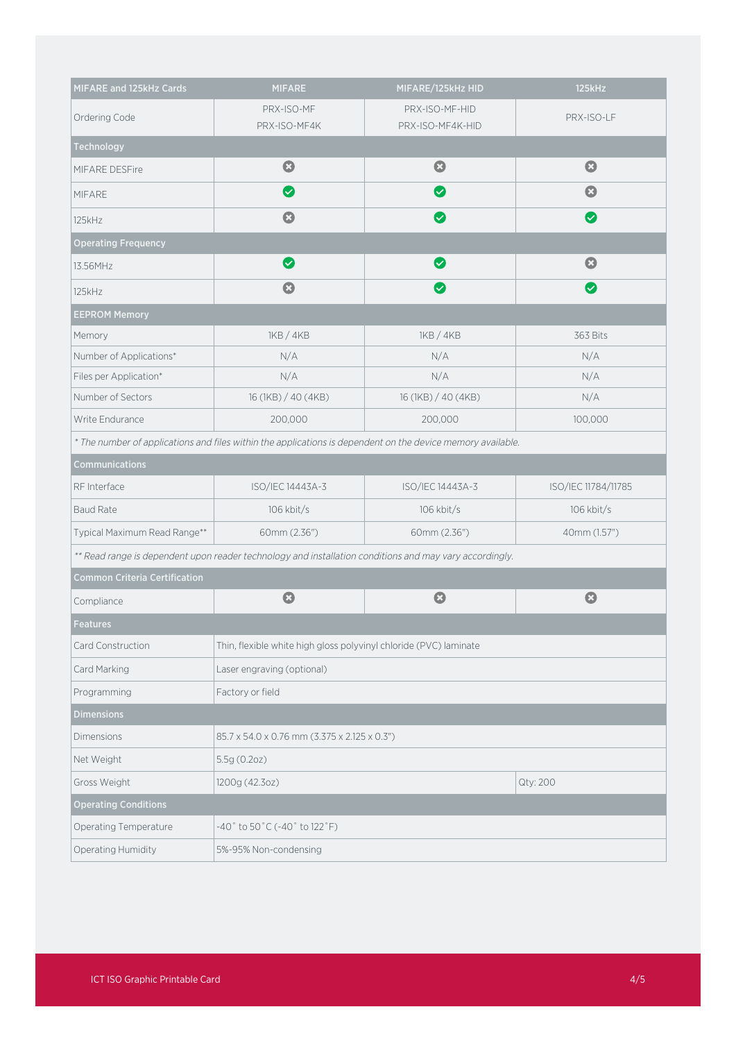| MIFARE and 125kHz Cards                                                                                     | <b>MIFARE</b>                                                     | MIFARE/125kHz HID                  | 125kHz                             |  |  |  |
|-------------------------------------------------------------------------------------------------------------|-------------------------------------------------------------------|------------------------------------|------------------------------------|--|--|--|
| Ordering Code                                                                                               | PRX-ISO-MF<br>PRX-ISO-MF4K                                        | PRX-ISO-MF-HID<br>PRX-ISO-MF4K-HID | PRX-ISO-LF                         |  |  |  |
| <b>Technology</b>                                                                                           |                                                                   |                                    |                                    |  |  |  |
| MIFARE DESFire                                                                                              | $\bullet$                                                         | $\boldsymbol{\Omega}$              | $\mathbf{C}$                       |  |  |  |
| <b>MIFARE</b>                                                                                               | $\bullet$                                                         | $\blacktriangledown$               | $\boldsymbol{\Omega}$              |  |  |  |
| 125kHz                                                                                                      | $\boldsymbol{\Omega}$                                             |                                    | $\left\vert \mathbf{v}\right\vert$ |  |  |  |
| <b>Operating Frequency</b>                                                                                  |                                                                   |                                    |                                    |  |  |  |
| 13.56MHz                                                                                                    | ◙                                                                 |                                    | $\boldsymbol{\Omega}$              |  |  |  |
| 125kHz                                                                                                      | $\mathbf{O}$                                                      | $\bm{\sigma}$                      | $\bm{\bm{\vartriangledown}}$       |  |  |  |
| <b>EEPROM Memory</b>                                                                                        |                                                                   |                                    |                                    |  |  |  |
| Memory                                                                                                      | 1KB / 4KB                                                         | 1KB / 4KB                          | 363 Bits                           |  |  |  |
| Number of Applications*                                                                                     | N/A                                                               | N/A                                | N/A                                |  |  |  |
| Files per Application*                                                                                      | N/A                                                               | N/A                                | N/A                                |  |  |  |
| Number of Sectors                                                                                           | 16 (1KB) / 40 (4KB)                                               | 16 (1KB) / 40 (4KB)                | N/A                                |  |  |  |
| Write Endurance                                                                                             | 200,000                                                           | 200,000                            | 100,000                            |  |  |  |
| * The number of applications and files within the applications is dependent on the device memory available. |                                                                   |                                    |                                    |  |  |  |
| Communications                                                                                              |                                                                   |                                    |                                    |  |  |  |
| RF Interface                                                                                                | ISO/IEC 14443A-3                                                  | ISO/IEC 14443A-3                   | ISO/IEC 11784/11785                |  |  |  |
| <b>Baud Rate</b>                                                                                            | 106 kbit/s                                                        | 106 kbit/s                         | 106 kbit/s                         |  |  |  |
| Typical Maximum Read Range**                                                                                | 60mm (2.36")                                                      | 60mm (2.36")                       | 40mm (1.57")                       |  |  |  |
| ** Read range is dependent upon reader technology and installation conditions and may vary accordingly.     |                                                                   |                                    |                                    |  |  |  |
| <b>Common Criteria Certification</b>                                                                        |                                                                   |                                    |                                    |  |  |  |
| Compliance                                                                                                  | $\mathbf{O}$                                                      | $\mathbf{C}$                       | $\mathbf{C}$                       |  |  |  |
| <b>Features</b>                                                                                             |                                                                   |                                    |                                    |  |  |  |
| Card Construction                                                                                           | Thin, flexible white high gloss polyvinyl chloride (PVC) laminate |                                    |                                    |  |  |  |
| Card Marking                                                                                                | Laser engraving (optional)                                        |                                    |                                    |  |  |  |
| Programming                                                                                                 | Factory or field                                                  |                                    |                                    |  |  |  |
| <b>Dimensions</b>                                                                                           |                                                                   |                                    |                                    |  |  |  |
| <b>Dimensions</b>                                                                                           | 85.7 x 54.0 x 0.76 mm (3.375 x 2.125 x 0.3")                      |                                    |                                    |  |  |  |
| Net Weight                                                                                                  | 5.5g (0.2oz)                                                      |                                    |                                    |  |  |  |
| Gross Weight                                                                                                | Qty: 200<br>1200g (42.3oz)                                        |                                    |                                    |  |  |  |
| <b>Operating Conditions</b>                                                                                 |                                                                   |                                    |                                    |  |  |  |
| Operating Temperature                                                                                       | $-40°$ to $50°$ C ( $-40°$ to $122°$ F)                           |                                    |                                    |  |  |  |
| Operating Humidity                                                                                          | 5%-95% Non-condensing                                             |                                    |                                    |  |  |  |